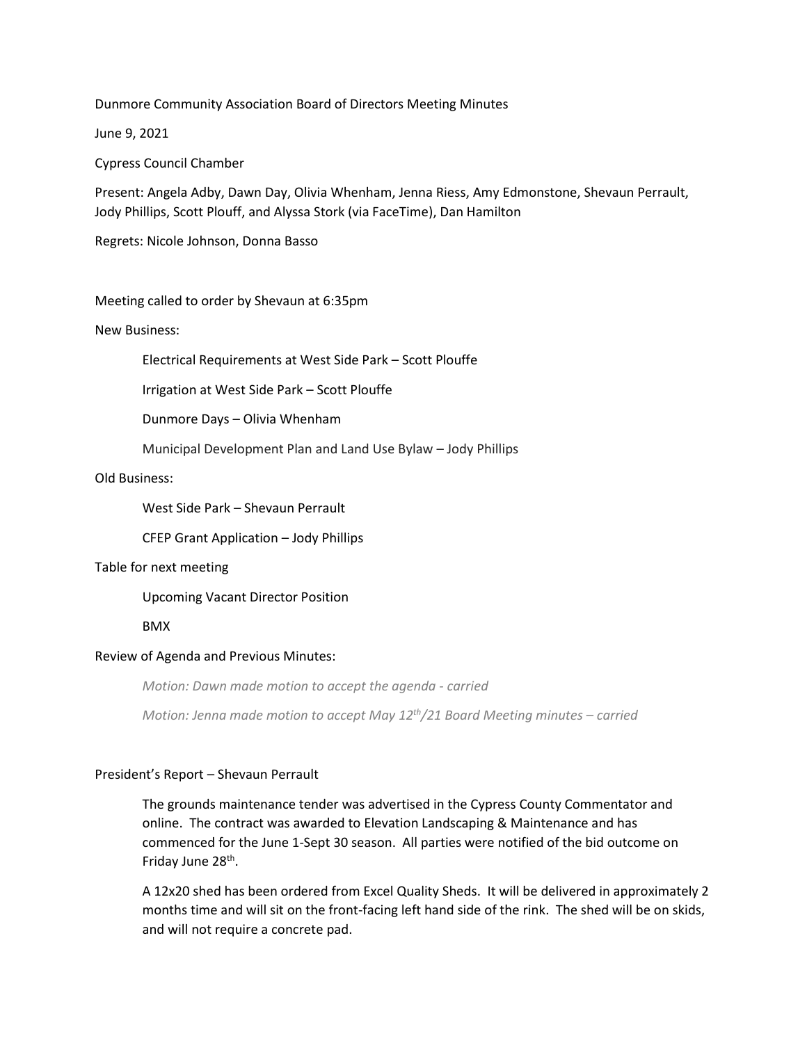Dunmore Community Association Board of Directors Meeting Minutes

June 9, 2021

Cypress Council Chamber

Present: Angela Adby, Dawn Day, Olivia Whenham, Jenna Riess, Amy Edmonstone, Shevaun Perrault, Jody Phillips, Scott Plouff, and Alyssa Stork (via FaceTime), Dan Hamilton

Regrets: Nicole Johnson, Donna Basso

Meeting called to order by Shevaun at 6:35pm

New Business:

Electrical Requirements at West Side Park – Scott Plouffe

Irrigation at West Side Park – Scott Plouffe

Dunmore Days – Olivia Whenham

Municipal Development Plan and Land Use Bylaw – Jody Phillips

## Old Business:

West Side Park – Shevaun Perrault

CFEP Grant Application – Jody Phillips

## Table for next meeting

Upcoming Vacant Director Position

## BMX

## Review of Agenda and Previous Minutes:

*Motion: Dawn made motion to accept the agenda - carried*

*Motion: Jenna made motion to accept May 12 th/21 Board Meeting minutes – carried*

## President's Report – Shevaun Perrault

The grounds maintenance tender was advertised in the Cypress County Commentator and online. The contract was awarded to Elevation Landscaping & Maintenance and has commenced for the June 1-Sept 30 season. All parties were notified of the bid outcome on Friday June 28<sup>th</sup>.

A 12x20 shed has been ordered from Excel Quality Sheds. It will be delivered in approximately 2 months time and will sit on the front-facing left hand side of the rink. The shed will be on skids, and will not require a concrete pad.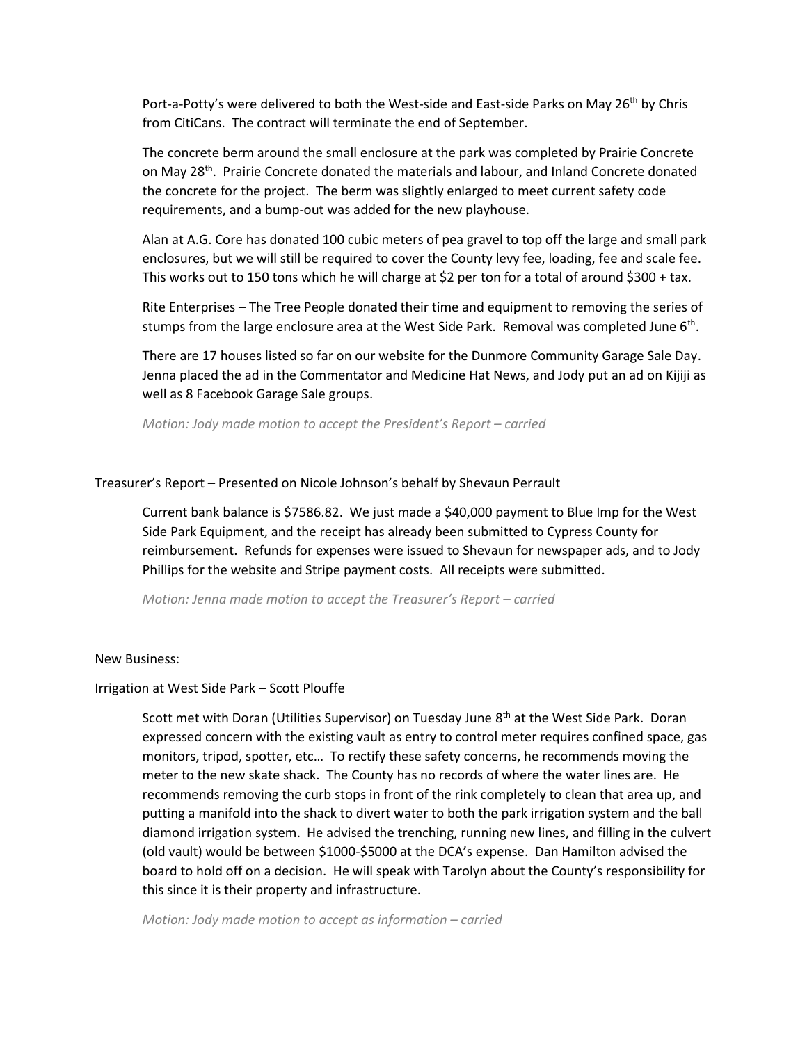Port-a-Potty's were delivered to both the West-side and East-side Parks on May 26<sup>th</sup> by Chris from CitiCans. The contract will terminate the end of September.

The concrete berm around the small enclosure at the park was completed by Prairie Concrete on May 28<sup>th</sup>. Prairie Concrete donated the materials and labour, and Inland Concrete donated the concrete for the project. The berm was slightly enlarged to meet current safety code requirements, and a bump-out was added for the new playhouse.

Alan at A.G. Core has donated 100 cubic meters of pea gravel to top off the large and small park enclosures, but we will still be required to cover the County levy fee, loading, fee and scale fee. This works out to 150 tons which he will charge at \$2 per ton for a total of around \$300 + tax.

Rite Enterprises – The Tree People donated their time and equipment to removing the series of stumps from the large enclosure area at the West Side Park. Removal was completed June 6<sup>th</sup>.

There are 17 houses listed so far on our website for the Dunmore Community Garage Sale Day. Jenna placed the ad in the Commentator and Medicine Hat News, and Jody put an ad on Kijiji as well as 8 Facebook Garage Sale groups.

*Motion: Jody made motion to accept the President's Report – carried*

### Treasurer's Report – Presented on Nicole Johnson's behalf by Shevaun Perrault

Current bank balance is \$7586.82. We just made a \$40,000 payment to Blue Imp for the West Side Park Equipment, and the receipt has already been submitted to Cypress County for reimbursement. Refunds for expenses were issued to Shevaun for newspaper ads, and to Jody Phillips for the website and Stripe payment costs. All receipts were submitted.

*Motion: Jenna made motion to accept the Treasurer's Report – carried*

#### New Business:

### Irrigation at West Side Park – Scott Plouffe

Scott met with Doran (Utilities Supervisor) on Tuesday June 8<sup>th</sup> at the West Side Park. Doran expressed concern with the existing vault as entry to control meter requires confined space, gas monitors, tripod, spotter, etc… To rectify these safety concerns, he recommends moving the meter to the new skate shack. The County has no records of where the water lines are. He recommends removing the curb stops in front of the rink completely to clean that area up, and putting a manifold into the shack to divert water to both the park irrigation system and the ball diamond irrigation system. He advised the trenching, running new lines, and filling in the culvert (old vault) would be between \$1000-\$5000 at the DCA's expense. Dan Hamilton advised the board to hold off on a decision. He will speak with Tarolyn about the County's responsibility for this since it is their property and infrastructure.

*Motion: Jody made motion to accept as information – carried*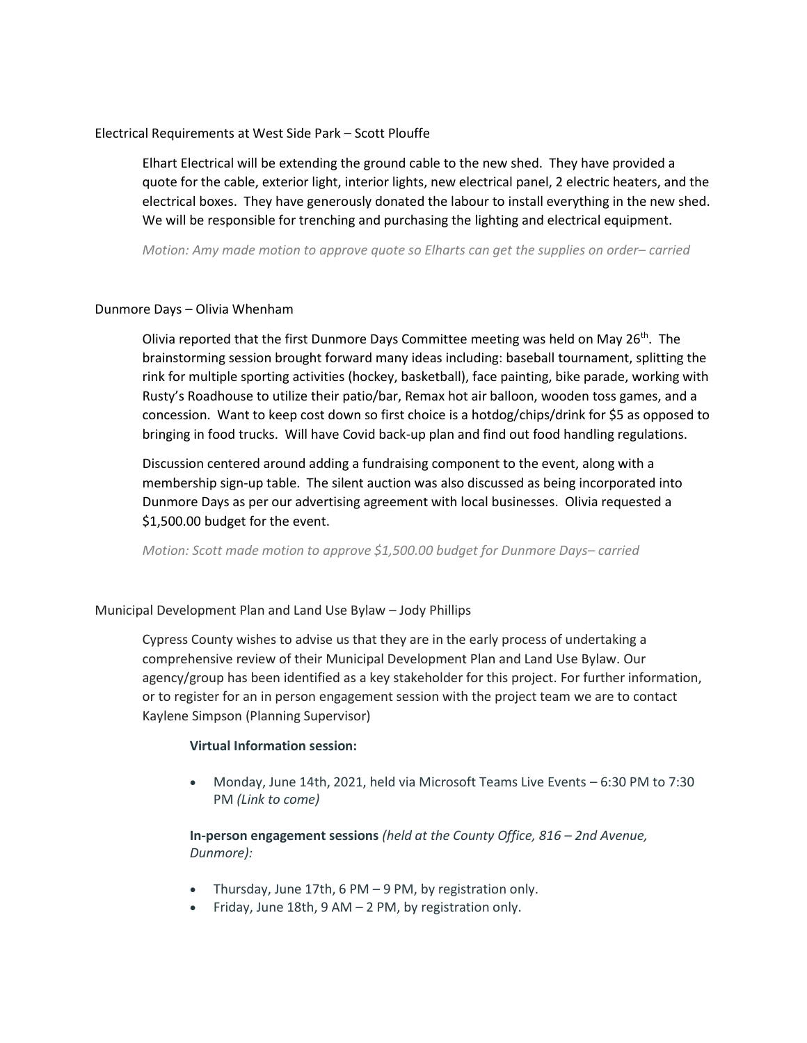# Electrical Requirements at West Side Park – Scott Plouffe

Elhart Electrical will be extending the ground cable to the new shed. They have provided a quote for the cable, exterior light, interior lights, new electrical panel, 2 electric heaters, and the electrical boxes. They have generously donated the labour to install everything in the new shed. We will be responsible for trenching and purchasing the lighting and electrical equipment.

*Motion: Amy made motion to approve quote so Elharts can get the supplies on order– carried*

## Dunmore Days – Olivia Whenham

Olivia reported that the first Dunmore Days Committee meeting was held on May  $26<sup>th</sup>$ . The brainstorming session brought forward many ideas including: baseball tournament, splitting the rink for multiple sporting activities (hockey, basketball), face painting, bike parade, working with Rusty's Roadhouse to utilize their patio/bar, Remax hot air balloon, wooden toss games, and a concession. Want to keep cost down so first choice is a hotdog/chips/drink for \$5 as opposed to bringing in food trucks. Will have Covid back-up plan and find out food handling regulations.

Discussion centered around adding a fundraising component to the event, along with a membership sign-up table. The silent auction was also discussed as being incorporated into Dunmore Days as per our advertising agreement with local businesses. Olivia requested a \$1,500.00 budget for the event.

*Motion: Scott made motion to approve \$1,500.00 budget for Dunmore Days– carried*

Municipal Development Plan and Land Use Bylaw – Jody Phillips

Cypress County wishes to advise us that they are in the early process of undertaking a comprehensive review of their Municipal Development Plan and Land Use Bylaw. Our agency/group has been identified as a key stakeholder for this project. For further information, or to register for an in person engagement session with the project team we are to contact Kaylene Simpson (Planning Supervisor)

# **Virtual Information session:**

• Monday, June 14th, 2021, held via Microsoft Teams Live Events – 6:30 PM to 7:30 PM *(Link to come)*

**In-person engagement sessions** *(held at the County Office, 816 – 2nd Avenue, Dunmore):*

- Thursday, June 17th, 6 PM 9 PM, by registration only.
- Friday, June 18th,  $9$  AM 2 PM, by registration only.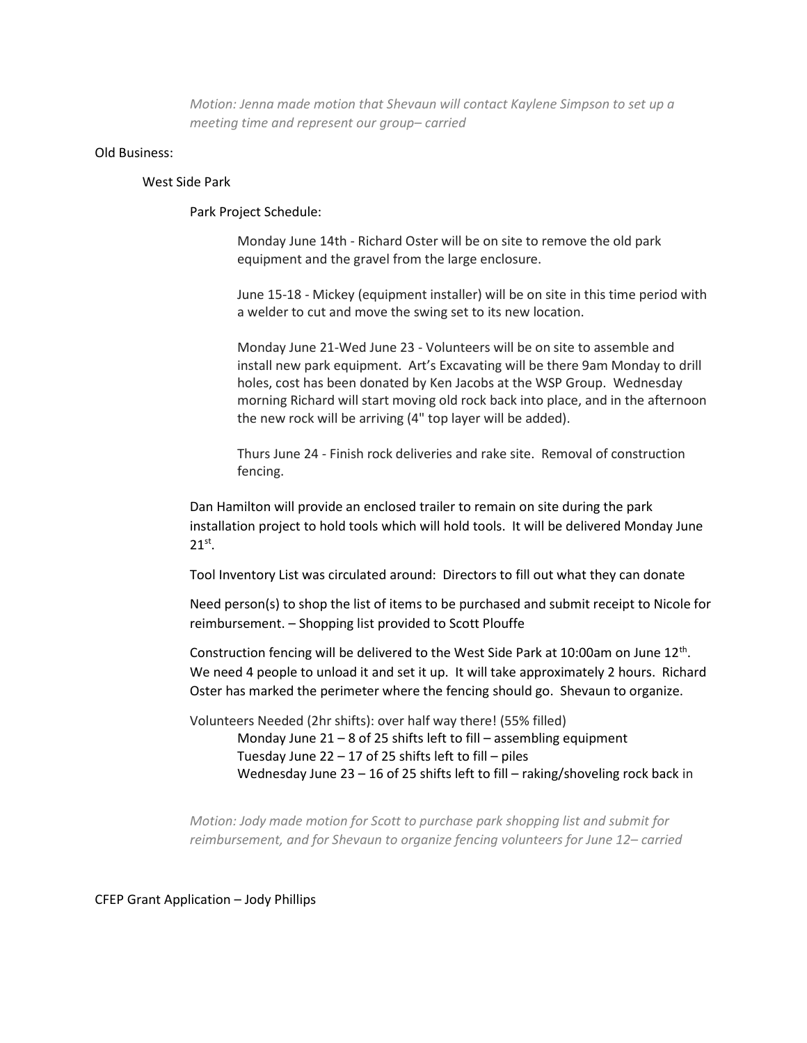*Motion: Jenna made motion that Shevaun will contact Kaylene Simpson to set up a meeting time and represent our group– carried*

### Old Business:

### West Side Park

Park Project Schedule:

Monday June 14th - Richard Oster will be on site to remove the old park equipment and the gravel from the large enclosure.

June 15-18 - Mickey (equipment installer) will be on site in this time period with a welder to cut and move the swing set to its new location.

Monday June 21-Wed June 23 - Volunteers will be on site to assemble and install new park equipment. Art's Excavating will be there 9am Monday to drill holes, cost has been donated by Ken Jacobs at the WSP Group. Wednesday morning Richard will start moving old rock back into place, and in the afternoon the new rock will be arriving (4" top layer will be added).

Thurs June 24 - Finish rock deliveries and rake site. Removal of construction fencing.

Dan Hamilton will provide an enclosed trailer to remain on site during the park installation project to hold tools which will hold tools. It will be delivered Monday June  $21^\text{st}$ .

Tool Inventory List was circulated around: Directors to fill out what they can donate

Need person(s) to shop the list of items to be purchased and submit receipt to Nicole for reimbursement. – Shopping list provided to Scott Plouffe

Construction fencing will be delivered to the West Side Park at 10:00am on June 12<sup>th</sup>. We need 4 people to unload it and set it up. It will take approximately 2 hours. Richard Oster has marked the perimeter where the fencing should go. Shevaun to organize.

Volunteers Needed (2hr shifts): over half way there! (55% filled)

Monday June 21 – 8 of 25 shifts left to fill – assembling equipment Tuesday June  $22 - 17$  of 25 shifts left to fill – piles Wednesday June 23 – 16 of 25 shifts left to fill – raking/shoveling rock back in

*Motion: Jody made motion for Scott to purchase park shopping list and submit for reimbursement, and for Shevaun to organize fencing volunteers for June 12– carried*

CFEP Grant Application – Jody Phillips